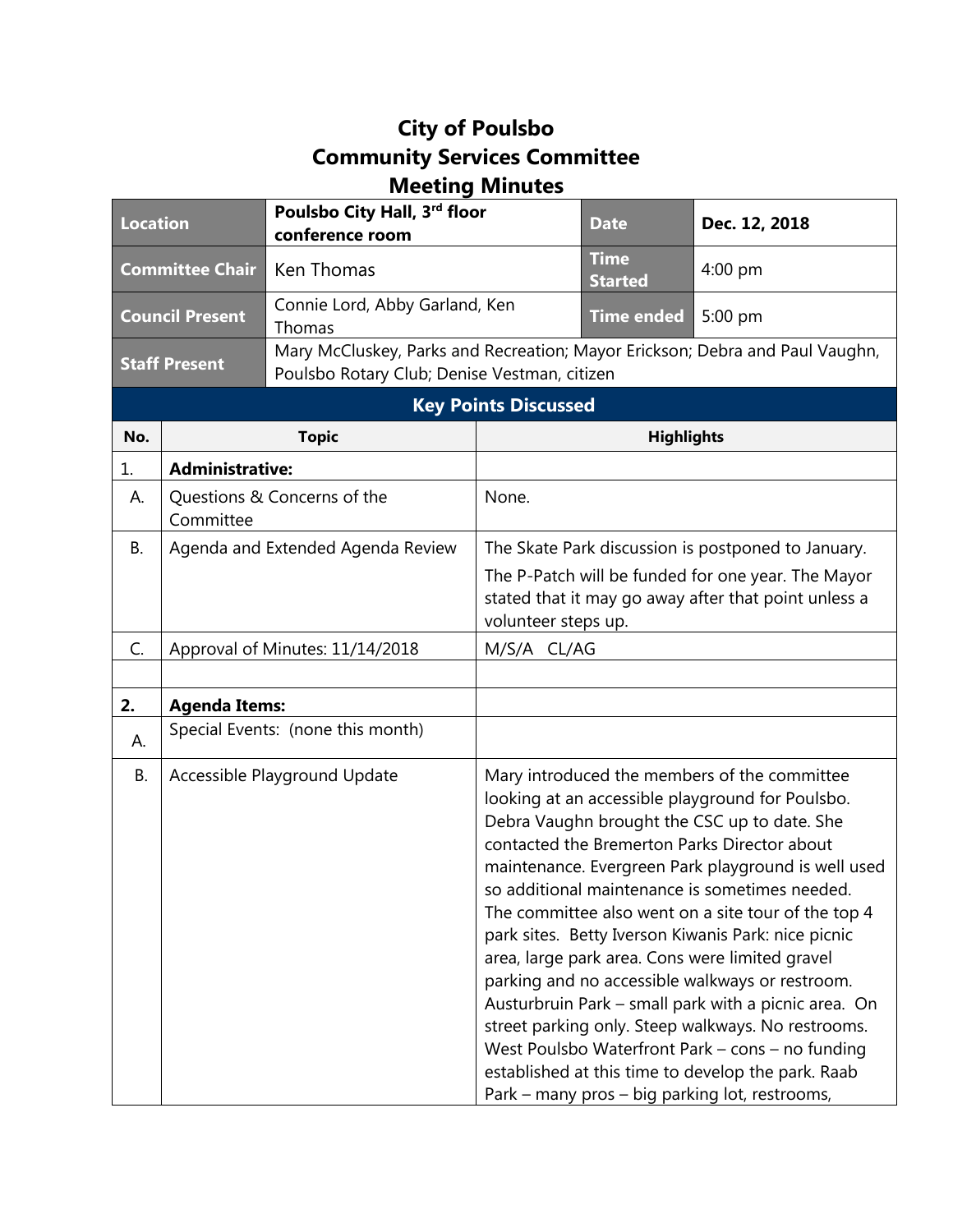## **City of Poulsbo Community Services Committee Meeting Minutes**

| <b>Location</b>        |                                          | Poulsbo City Hall, 3rd floor<br>conference room                                                                              |                                                    | <b>Date</b>                   | Dec. 12, 2018                                                                                                                                                                                                                                                                                                                                                                                                                                                                                                                                                                                                                                                                                                                                                                                           |
|------------------------|------------------------------------------|------------------------------------------------------------------------------------------------------------------------------|----------------------------------------------------|-------------------------------|---------------------------------------------------------------------------------------------------------------------------------------------------------------------------------------------------------------------------------------------------------------------------------------------------------------------------------------------------------------------------------------------------------------------------------------------------------------------------------------------------------------------------------------------------------------------------------------------------------------------------------------------------------------------------------------------------------------------------------------------------------------------------------------------------------|
| <b>Committee Chair</b> |                                          | Ken Thomas                                                                                                                   |                                                    | <b>Time</b><br><b>Started</b> | $4:00$ pm                                                                                                                                                                                                                                                                                                                                                                                                                                                                                                                                                                                                                                                                                                                                                                                               |
| <b>Council Present</b> |                                          | Connie Lord, Abby Garland, Ken<br>Thomas                                                                                     |                                                    | <b>Time ended</b>             | 5:00 pm                                                                                                                                                                                                                                                                                                                                                                                                                                                                                                                                                                                                                                                                                                                                                                                                 |
| <b>Staff Present</b>   |                                          | Mary McCluskey, Parks and Recreation; Mayor Erickson; Debra and Paul Vaughn,<br>Poulsbo Rotary Club; Denise Vestman, citizen |                                                    |                               |                                                                                                                                                                                                                                                                                                                                                                                                                                                                                                                                                                                                                                                                                                                                                                                                         |
|                        |                                          |                                                                                                                              | <b>Key Points Discussed</b>                        |                               |                                                                                                                                                                                                                                                                                                                                                                                                                                                                                                                                                                                                                                                                                                                                                                                                         |
| No.                    | <b>Topic</b>                             |                                                                                                                              | <b>Highlights</b>                                  |                               |                                                                                                                                                                                                                                                                                                                                                                                                                                                                                                                                                                                                                                                                                                                                                                                                         |
| 1.                     | <b>Administrative:</b>                   |                                                                                                                              |                                                    |                               |                                                                                                                                                                                                                                                                                                                                                                                                                                                                                                                                                                                                                                                                                                                                                                                                         |
| А.                     | Questions & Concerns of the<br>Committee |                                                                                                                              | None.                                              |                               |                                                                                                                                                                                                                                                                                                                                                                                                                                                                                                                                                                                                                                                                                                                                                                                                         |
| В.                     | Agenda and Extended Agenda Review        |                                                                                                                              | The Skate Park discussion is postponed to January. |                               |                                                                                                                                                                                                                                                                                                                                                                                                                                                                                                                                                                                                                                                                                                                                                                                                         |
|                        |                                          |                                                                                                                              | volunteer steps up.                                |                               | The P-Patch will be funded for one year. The Mayor<br>stated that it may go away after that point unless a                                                                                                                                                                                                                                                                                                                                                                                                                                                                                                                                                                                                                                                                                              |
| C.                     | Approval of Minutes: 11/14/2018          |                                                                                                                              | M/S/A CL/AG                                        |                               |                                                                                                                                                                                                                                                                                                                                                                                                                                                                                                                                                                                                                                                                                                                                                                                                         |
|                        |                                          |                                                                                                                              |                                                    |                               |                                                                                                                                                                                                                                                                                                                                                                                                                                                                                                                                                                                                                                                                                                                                                                                                         |
| 2.                     | <b>Agenda Items:</b>                     |                                                                                                                              |                                                    |                               |                                                                                                                                                                                                                                                                                                                                                                                                                                                                                                                                                                                                                                                                                                                                                                                                         |
| А.                     | Special Events: (none this month)        |                                                                                                                              |                                                    |                               |                                                                                                                                                                                                                                                                                                                                                                                                                                                                                                                                                                                                                                                                                                                                                                                                         |
| В.                     |                                          | Accessible Playground Update                                                                                                 |                                                    |                               | Mary introduced the members of the committee<br>looking at an accessible playground for Poulsbo.<br>Debra Vaughn brought the CSC up to date. She<br>contacted the Bremerton Parks Director about<br>maintenance. Evergreen Park playground is well used<br>so additional maintenance is sometimes needed.<br>The committee also went on a site tour of the top 4<br>park sites. Betty Iverson Kiwanis Park: nice picnic<br>area, large park area. Cons were limited gravel<br>parking and no accessible walkways or restroom.<br>Austurbruin Park - small park with a picnic area. On<br>street parking only. Steep walkways. No restrooms.<br>West Poulsbo Waterfront Park - cons - no funding<br>established at this time to develop the park. Raab<br>Park - many pros - big parking lot, restrooms, |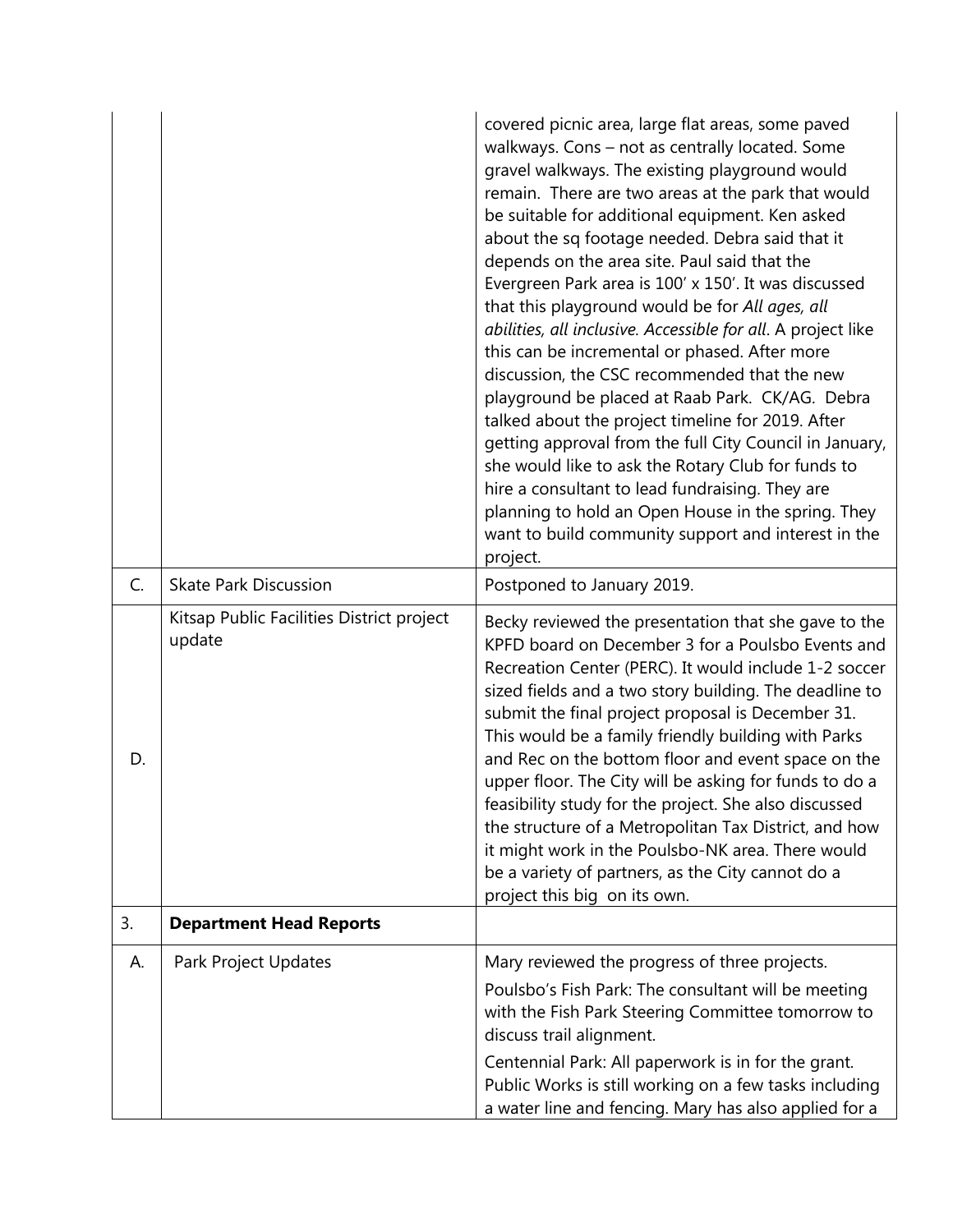|    |                                                     | covered picnic area, large flat areas, some paved<br>walkways. Cons - not as centrally located. Some<br>gravel walkways. The existing playground would<br>remain. There are two areas at the park that would<br>be suitable for additional equipment. Ken asked<br>about the sq footage needed. Debra said that it<br>depends on the area site. Paul said that the<br>Evergreen Park area is 100' x 150'. It was discussed<br>that this playground would be for All ages, all<br>abilities, all inclusive. Accessible for all. A project like<br>this can be incremental or phased. After more<br>discussion, the CSC recommended that the new<br>playground be placed at Raab Park. CK/AG. Debra<br>talked about the project timeline for 2019. After<br>getting approval from the full City Council in January,<br>she would like to ask the Rotary Club for funds to<br>hire a consultant to lead fundraising. They are<br>planning to hold an Open House in the spring. They<br>want to build community support and interest in the<br>project. |
|----|-----------------------------------------------------|-----------------------------------------------------------------------------------------------------------------------------------------------------------------------------------------------------------------------------------------------------------------------------------------------------------------------------------------------------------------------------------------------------------------------------------------------------------------------------------------------------------------------------------------------------------------------------------------------------------------------------------------------------------------------------------------------------------------------------------------------------------------------------------------------------------------------------------------------------------------------------------------------------------------------------------------------------------------------------------------------------------------------------------------------------|
| C. | <b>Skate Park Discussion</b>                        | Postponed to January 2019.                                                                                                                                                                                                                                                                                                                                                                                                                                                                                                                                                                                                                                                                                                                                                                                                                                                                                                                                                                                                                          |
| D. | Kitsap Public Facilities District project<br>update | Becky reviewed the presentation that she gave to the<br>KPFD board on December 3 for a Poulsbo Events and<br>Recreation Center (PERC). It would include 1-2 soccer<br>sized fields and a two story building. The deadline to<br>submit the final project proposal is December 31.<br>This would be a family friendly building with Parks<br>and Rec on the bottom floor and event space on the<br>upper floor. The City will be asking for funds to do a<br>feasibility study for the project. She also discussed<br>the structure of a Metropolitan Tax District, and how<br>it might work in the Poulsbo-NK area. There would<br>be a variety of partners, as the City cannot do a<br>project this big on its own.                                                                                                                                                                                                                                                                                                                                |
| 3. | <b>Department Head Reports</b>                      |                                                                                                                                                                                                                                                                                                                                                                                                                                                                                                                                                                                                                                                                                                                                                                                                                                                                                                                                                                                                                                                     |
| А. | Park Project Updates                                | Mary reviewed the progress of three projects.<br>Poulsbo's Fish Park: The consultant will be meeting<br>with the Fish Park Steering Committee tomorrow to<br>discuss trail alignment.<br>Centennial Park: All paperwork is in for the grant.<br>Public Works is still working on a few tasks including<br>a water line and fencing. Mary has also applied for a                                                                                                                                                                                                                                                                                                                                                                                                                                                                                                                                                                                                                                                                                     |